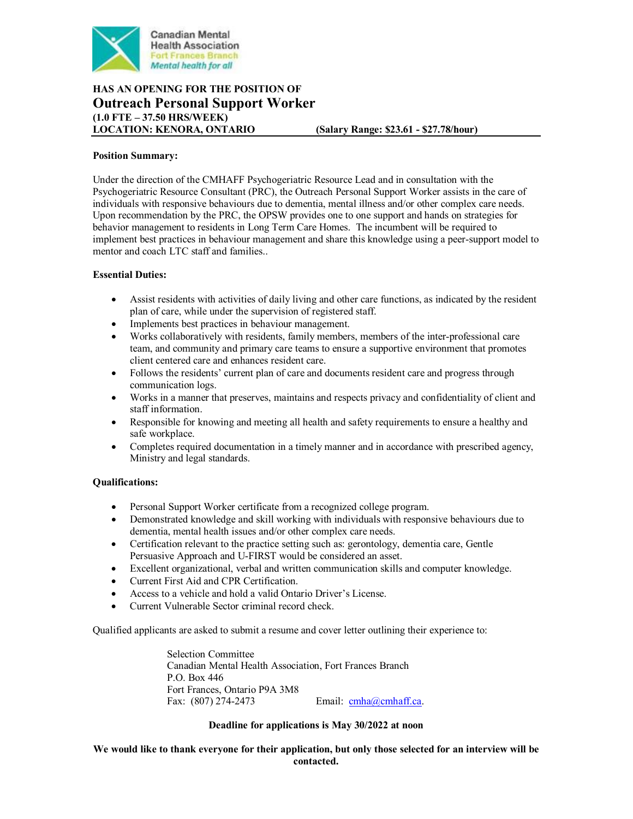

# **HAS AN OPENING FOR THE POSITION OF Outreach Personal Support Worker (1.0 FTE – 37.50 HRS/WEEK)**

**LOCATION: KENORA, ONTARIO (Salary Range: \$23.61 - \$27.78/hour)**

### **Position Summary:**

Under the direction of the CMHAFF Psychogeriatric Resource Lead and in consultation with the Psychogeriatric Resource Consultant (PRC), the Outreach Personal Support Worker assists in the care of individuals with responsive behaviours due to dementia, mental illness and/or other complex care needs. Upon recommendation by the PRC, the OPSW provides one to one support and hands on strategies for behavior management to residents in Long Term Care Homes. The incumbent will be required to implement best practices in behaviour management and share this knowledge using a peer-support model to mentor and coach LTC staff and families..

## **Essential Duties:**

- Assist residents with activities of daily living and other care functions, as indicated by the resident plan of care, while under the supervision of registered staff.
- Implements best practices in behaviour management.
- Works collaboratively with residents, family members, members of the inter-professional care team, and community and primary care teams to ensure a supportive environment that promotes client centered care and enhances resident care.
- Follows the residents' current plan of care and documents resident care and progress through communication logs.
- Works in a manner that preserves, maintains and respects privacy and confidentiality of client and staff information.
- Responsible for knowing and meeting all health and safety requirements to ensure a healthy and safe workplace.
- Completes required documentation in a timely manner and in accordance with prescribed agency, Ministry and legal standards.

## **Qualifications:**

- Personal Support Worker certificate from a recognized college program.
- Demonstrated knowledge and skill working with individuals with responsive behaviours due to dementia, mental health issues and/or other complex care needs.
- Certification relevant to the practice setting such as: gerontology, dementia care, Gentle Persuasive Approach and U-FIRST would be considered an asset.
- Excellent organizational, verbal and written communication skills and computer knowledge.
- Current First Aid and CPR Certification.
- Access to a vehicle and hold a valid Ontario Driver's License.
- Current Vulnerable Sector criminal record check.

Qualified applicants are asked to submit a resume and cover letter outlining their experience to:

Selection Committee Canadian Mental Health Association, Fort Frances Branch P.O. Box 446 Fort Frances, Ontario P9A 3M8 Fax: (807) 274-2473 Email: [cmha@cmhaff.ca.](mailto:cmha@cmhaff.ca)

## **Deadline for applications is May 30/2022 at noon**

**We would like to thank everyone for their application, but only those selected for an interview will be contacted.**